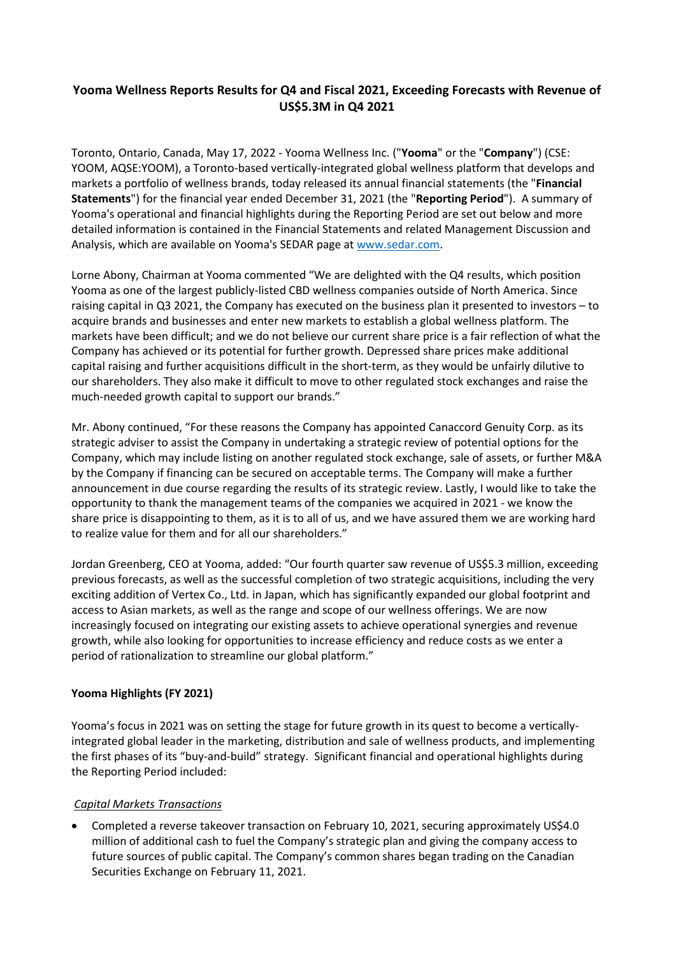# **Yooma Wellness Reports Results for Q4 and Fiscal 2021, Exceeding Forecasts with Revenue of US\$5.3M in Q4 2021**

Toronto, Ontario, Canada, May 17, 2022 - Yooma Wellness Inc. ("**Yooma**" or the "**Company**") (CSE: YOOM, AQSE:YOOM), a Toronto-based vertically-integrated global wellness platform that develops and markets a portfolio of wellness brands, today released its annual financial statements (the "**Financial Statements**") for the financial year ended December 31, 2021 (the "**Reporting Period**"). A summary of Yooma's operational and financial highlights during the Reporting Period are set out below and more detailed information is contained in the Financial Statements and related Management Discussion and Analysis, which are available on Yooma's SEDAR page at [www.sedar.com.](http://www.sedar.com/)

Lorne Abony, Chairman at Yooma commented "We are delighted with the Q4 results, which position Yooma as one of the largest publicly-listed CBD wellness companies outside of North America. Since raising capital in Q3 2021, the Company has executed on the business plan it presented to investors – to acquire brands and businesses and enter new markets to establish a global wellness platform. The markets have been difficult; and we do not believe our current share price is a fair reflection of what the Company has achieved or its potential for further growth. Depressed share prices make additional capital raising and further acquisitions difficult in the short-term, as they would be unfairly dilutive to our shareholders. They also make it difficult to move to other regulated stock exchanges and raise the much-needed growth capital to support our brands."

Mr. Abony continued, "For these reasons the Company has appointed Canaccord Genuity Corp. as its strategic adviser to assist the Company in undertaking a strategic review of potential options for the Company, which may include listing on another regulated stock exchange, sale of assets, or further M&A by the Company if financing can be secured on acceptable terms. The Company will make a further announcement in due course regarding the results of its strategic review. Lastly, I would like to take the opportunity to thank the management teams of the companies we acquired in 2021 - we know the share price is disappointing to them, as it is to all of us, and we have assured them we are working hard to realize value for them and for all our shareholders."

Jordan Greenberg, CEO at Yooma, added: "Our fourth quarter saw revenue of US\$5.3 million, exceeding previous forecasts, as well as the successful completion of two strategic acquisitions, including the very exciting addition of Vertex Co., Ltd. in Japan, which has significantly expanded our global footprint and access to Asian markets, as well as the range and scope of our wellness offerings. We are now increasingly focused on integrating our existing assets to achieve operational synergies and revenue growth, while also looking for opportunities to increase efficiency and reduce costs as we enter a period of rationalization to streamline our global platform."

## **Yooma Highlights (FY 2021)**

Yooma's focus in 2021 was on setting the stage for future growth in its quest to become a verticallyintegrated global leader in the marketing, distribution and sale of wellness products, and implementing the first phases of its "buy-and-build" strategy. Significant financial and operational highlights during the Reporting Period included:

## *Capital Markets Transactions*

 Completed a reverse takeover transaction on February 10, 2021, securing approximately US\$4.0 million of additional cash to fuel the Company's strategic plan and giving the company access to future sources of public capital. The Company's common shares began trading on the Canadian Securities Exchange on February 11, 2021.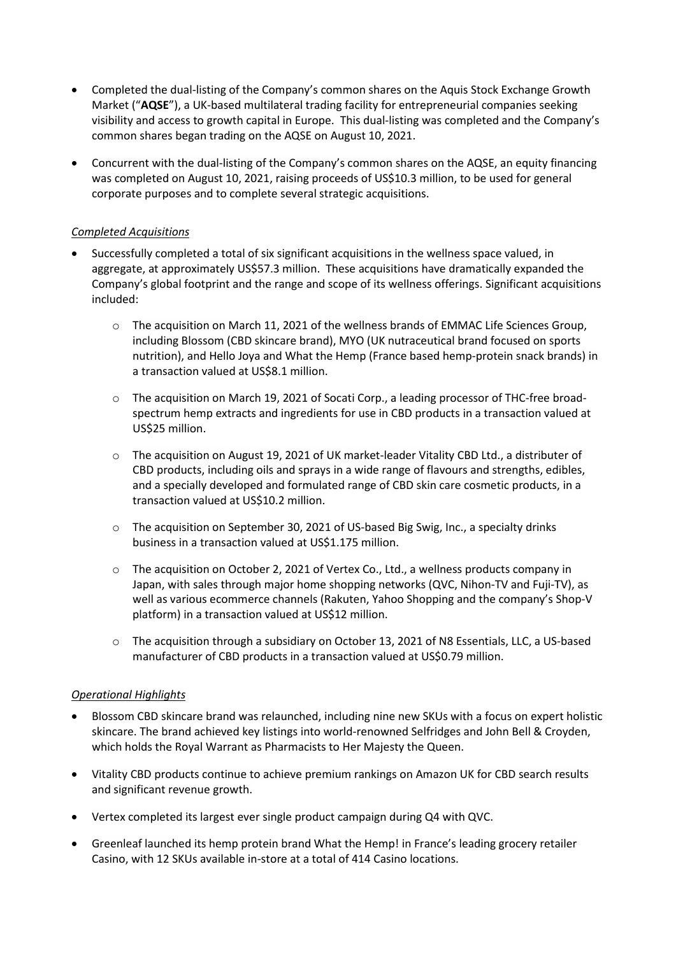- Completed the dual-listing of the Company's common shares on the Aquis Stock Exchange Growth Market ("**AQSE**"), a UK-based multilateral trading facility for entrepreneurial companies seeking visibility and access to growth capital in Europe. This dual-listing was completed and the Company's common shares began trading on the AQSE on August 10, 2021.
- Concurrent with the dual-listing of the Company's common shares on the AQSE, an equity financing was completed on August 10, 2021, raising proceeds of US\$10.3 million, to be used for general corporate purposes and to complete several strategic acquisitions.

## *Completed Acquisitions*

- Successfully completed a total of six significant acquisitions in the wellness space valued, in aggregate, at approximately US\$57.3 million. These acquisitions have dramatically expanded the Company's global footprint and the range and scope of its wellness offerings. Significant acquisitions included:
	- o The acquisition on March 11, 2021 of the wellness brands of EMMAC Life Sciences Group, including Blossom (CBD skincare brand), MYO (UK nutraceutical brand focused on sports nutrition), and Hello Joya and What the Hemp (France based hemp-protein snack brands) in a transaction valued at US\$8.1 million.
	- o The acquisition on March 19, 2021 of Socati Corp., a leading processor of THC-free broadspectrum hemp extracts and ingredients for use in CBD products in a transaction valued at US\$25 million.
	- $\circ$  The acquisition on August 19, 2021 of UK market-leader Vitality CBD Ltd., a distributer of CBD products, including oils and sprays in a wide range of flavours and strengths, edibles, and a specially developed and formulated range of CBD skin care cosmetic products, in a transaction valued at US\$10.2 million.
	- o The acquisition on September 30, 2021 of US-based Big Swig, Inc., a specialty drinks business in a transaction valued at US\$1.175 million.
	- o The acquisition on October 2, 2021 of Vertex Co., Ltd., a wellness products company in Japan, with sales through major home shopping networks (QVC, Nihon-TV and Fuji-TV), as well as various ecommerce channels (Rakuten, Yahoo Shopping and the company's Shop-V platform) in a transaction valued at US\$12 million.
	- o The acquisition through a subsidiary on October 13, 2021 of N8 Essentials, LLC, a US-based manufacturer of CBD products in a transaction valued at US\$0.79 million.

#### *Operational Highlights*

- Blossom CBD skincare brand was relaunched, including nine new SKUs with a focus on expert holistic skincare. The brand achieved key listings into world-renowned Selfridges and John Bell & Croyden, which holds the Royal Warrant as Pharmacists to Her Majesty the Queen.
- Vitality CBD products continue to achieve premium rankings on Amazon UK for CBD search results and significant revenue growth.
- Vertex completed its largest ever single product campaign during Q4 with QVC.
- Greenleaf launched its hemp protein brand What the Hemp! in France's leading grocery retailer Casino, with 12 SKUs available in-store at a total of 414 Casino locations.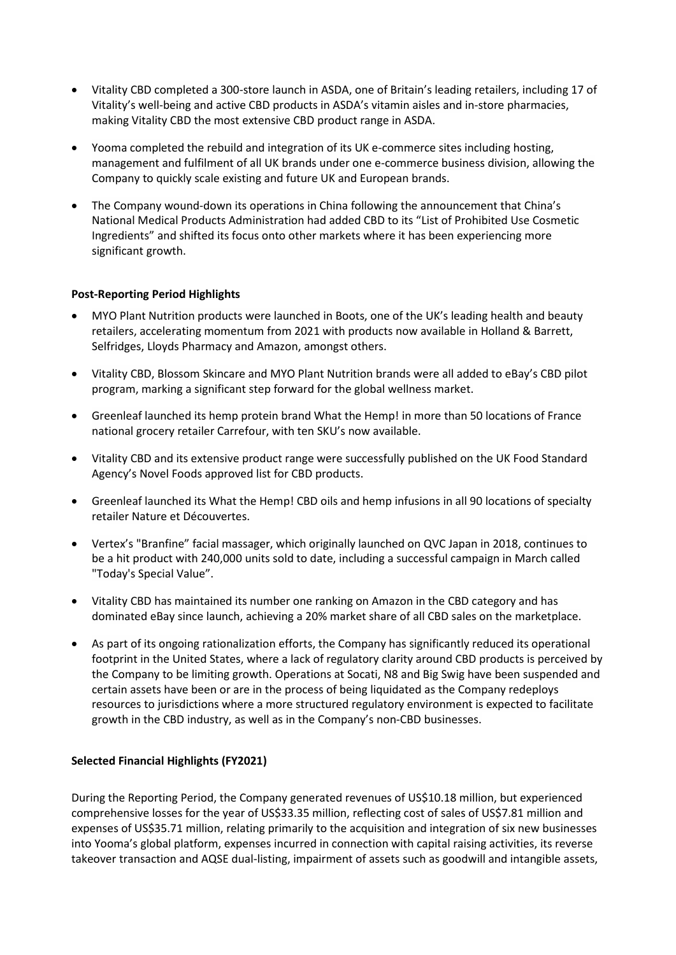- Vitality CBD completed a 300-store launch in ASDA, one of Britain's leading retailers, including 17 of Vitality's well-being and active CBD products in ASDA's vitamin aisles and in-store pharmacies, making Vitality CBD the most extensive CBD product range in ASDA.
- Yooma completed the rebuild and integration of its UK e-commerce sites including hosting, management and fulfilment of all UK brands under one e-commerce business division, allowing the Company to quickly scale existing and future UK and European brands.
- The Company wound-down its operations in China following the announcement that China's National Medical Products Administration had added CBD to its "List of Prohibited Use Cosmetic Ingredients" and shifted its focus onto other markets where it has been experiencing more significant growth.

### **Post-Reporting Period Highlights**

- MYO Plant Nutrition products were launched in Boots, one of the UK's leading health and beauty retailers, accelerating momentum from 2021 with products now available in Holland & Barrett, Selfridges, Lloyds Pharmacy and Amazon, amongst others.
- Vitality CBD, Blossom Skincare and MYO Plant Nutrition brands were all added to eBay's CBD pilot program, marking a significant step forward for the global wellness market.
- Greenleaf launched its hemp protein brand What the Hemp! in more than 50 locations of France national grocery retailer Carrefour, with ten SKU's now available.
- Vitality CBD and its extensive product range were successfully published on the UK Food Standard Agency's Novel Foods approved list for CBD products.
- Greenleaf launched its What the Hemp! CBD oils and hemp infusions in all 90 locations of specialty retailer Nature et Découvertes.
- Vertex's "Branfine" facial massager, which originally launched on QVC Japan in 2018, continues to be a hit product with 240,000 units sold to date, including a successful campaign in March called "Today's Special Value".
- Vitality CBD has maintained its number one ranking on Amazon in the CBD category and has dominated eBay since launch, achieving a 20% market share of all CBD sales on the marketplace.
- As part of its ongoing rationalization efforts, the Company has significantly reduced its operational footprint in the United States, where a lack of regulatory clarity around CBD products is perceived by the Company to be limiting growth. Operations at Socati, N8 and Big Swig have been suspended and certain assets have been or are in the process of being liquidated as the Company redeploys resources to jurisdictions where a more structured regulatory environment is expected to facilitate growth in the CBD industry, as well as in the Company's non-CBD businesses.

#### **Selected Financial Highlights (FY2021)**

During the Reporting Period, the Company generated revenues of US\$10.18 million, but experienced comprehensive losses for the year of US\$33.35 million, reflecting cost of sales of US\$7.81 million and expenses of US\$35.71 million, relating primarily to the acquisition and integration of six new businesses into Yooma's global platform, expenses incurred in connection with capital raising activities, its reverse takeover transaction and AQSE dual-listing, impairment of assets such as goodwill and intangible assets,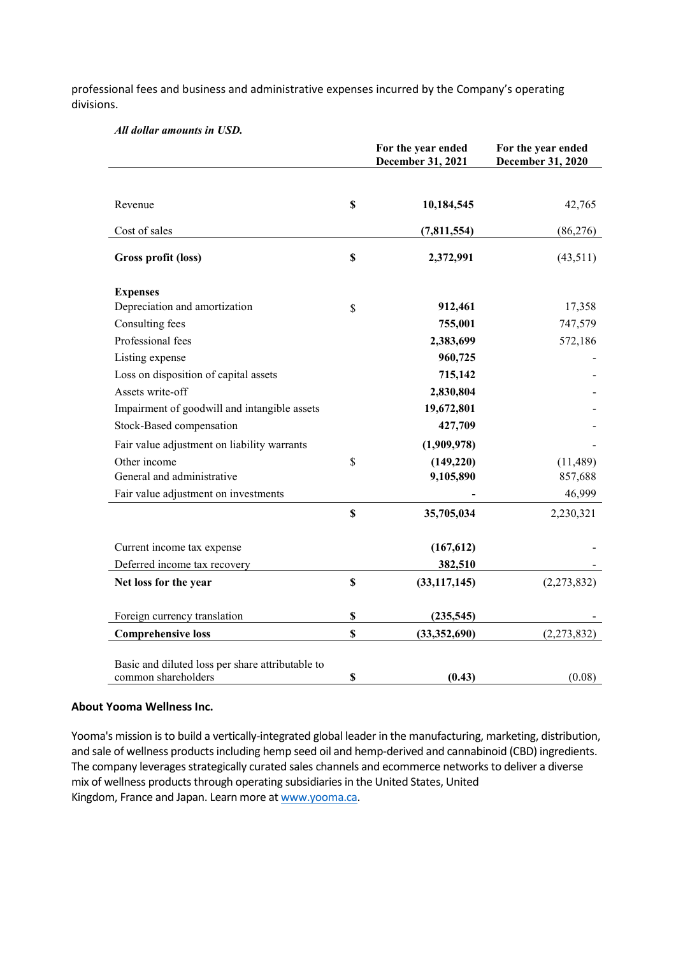professional fees and business and administrative expenses incurred by the Company's operating divisions.

|  |  |  | All dollar amounts in USD. |  |  |
|--|--|--|----------------------------|--|--|
|--|--|--|----------------------------|--|--|

|                                                  |               | For the year ended<br>December 31, 2021 | For the year ended<br>December 31, 2020 |
|--------------------------------------------------|---------------|-----------------------------------------|-----------------------------------------|
|                                                  |               |                                         |                                         |
| Revenue                                          | <sup>\$</sup> | 10,184,545                              | 42,765                                  |
| Cost of sales                                    |               | (7,811,554)                             | (86, 276)                               |
| Gross profit (loss)                              | \$            | 2,372,991                               | (43,511)                                |
| <b>Expenses</b>                                  |               |                                         |                                         |
| Depreciation and amortization                    | \$            | 912,461                                 | 17,358                                  |
| Consulting fees                                  |               | 755,001                                 | 747,579                                 |
| Professional fees                                |               | 2,383,699                               | 572,186                                 |
| Listing expense                                  |               | 960,725                                 |                                         |
| Loss on disposition of capital assets            |               | 715,142                                 |                                         |
| Assets write-off                                 |               | 2,830,804                               |                                         |
| Impairment of goodwill and intangible assets     |               | 19,672,801                              |                                         |
| Stock-Based compensation                         |               | 427,709                                 |                                         |
| Fair value adjustment on liability warrants      |               | (1,909,978)                             |                                         |
| Other income                                     | \$            | (149, 220)                              | (11, 489)                               |
| General and administrative                       |               | 9,105,890                               | 857,688                                 |
| Fair value adjustment on investments             |               |                                         | 46,999                                  |
|                                                  | $\mathbf S$   | 35,705,034                              | 2,230,321                               |
| Current income tax expense                       |               | (167, 612)                              |                                         |
| Deferred income tax recovery                     |               | 382,510                                 |                                         |
| Net loss for the year                            | $\mathbf S$   | (33, 117, 145)                          | (2,273,832)                             |
| Foreign currency translation                     | \$            | (235,545)                               |                                         |
| <b>Comprehensive loss</b>                        | \$            | (33, 352, 690)                          | (2,273,832)                             |
|                                                  |               |                                         |                                         |
| Basic and diluted loss per share attributable to |               |                                         |                                         |
| common shareholders                              | \$            | (0.43)                                  | (0.08)                                  |

#### **About Yooma Wellness Inc.**

Yooma's mission is to build a vertically-integrated global leader in the manufacturing, marketing, distribution, and sale of wellness products including hemp seed oil and hemp-derived and cannabinoid (CBD) ingredients. The company leverages strategically curated sales channels and ecommerce networks to deliver a diverse mix of wellness products through operating subsidiaries in the United States, United Kingdom, France and Japan. Learn more a[t www.yooma.ca.](https://c212.net/c/link/?t=0&l=en&o=3200800-1&h=3290795059&u=http://www.yooma.ca/&a=www.yooma.ca%22%20%5Ct%20%22_blank)